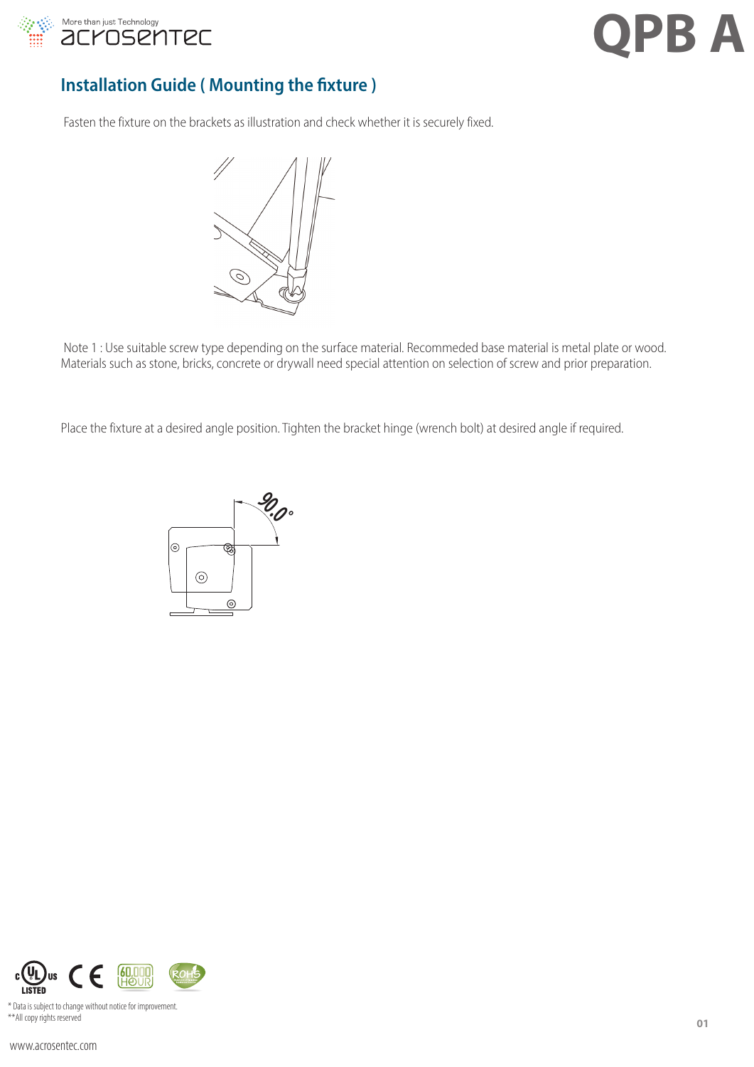

### **Installation Guide ( Mounting the fixture )**

Fasten the fixture on the brackets as illustration and check whether it is securely fixed.



 Note 1 : Use suitable screw type depending on the surface material. Recommeded base material is metal plate or wood. Materials such as stone, bricks, concrete or drywall need special attention on selection of screw and prior preparation.

Place the fixture at a desired angle position. Tighten the bracket hinge (wrench bolt) at desired angle if required.





\* Data is subject to change without notice for improvement. \*\*All copy rights reserved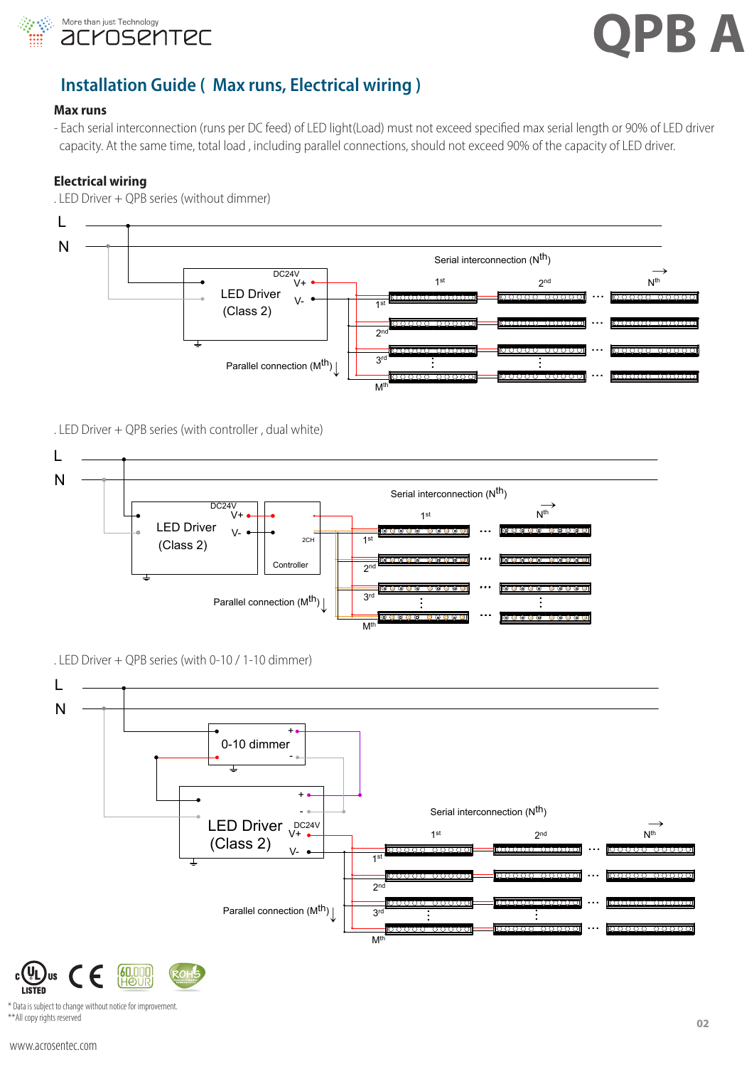

#### **Installation Guide (Max runs, Electrical wiring)** Max runs, Electrical wiring ) V+ LED Driver V- 1st Master Serial interconnection (Nth)

#### **Max runs**

- Each serial interconnection (runs per DC feed) of LED light(Load) must not exceed specified max serial length or 90% of LED driver capacity. At the same time, total load , including parallel connections, should not exceed 90% of the capacity of LED driver. nection (runs per DC feed) of LED light(Load) must not exceed spee **ng )**<br>nust not exceed specifiens, should not exceed 9 nection (runs per DC feed) of LED light(Load) must not exceed sp.<br>. م<br>مرد

#### **Electrical wiring**

 $\mathsf{LED}$  Driver  $+$  QPB series (without dimmer)



### . LED Driver + QPB series (with controller , dual white)



. LED Driver + QPB series (with 0-10 / 1-10 dimmer)

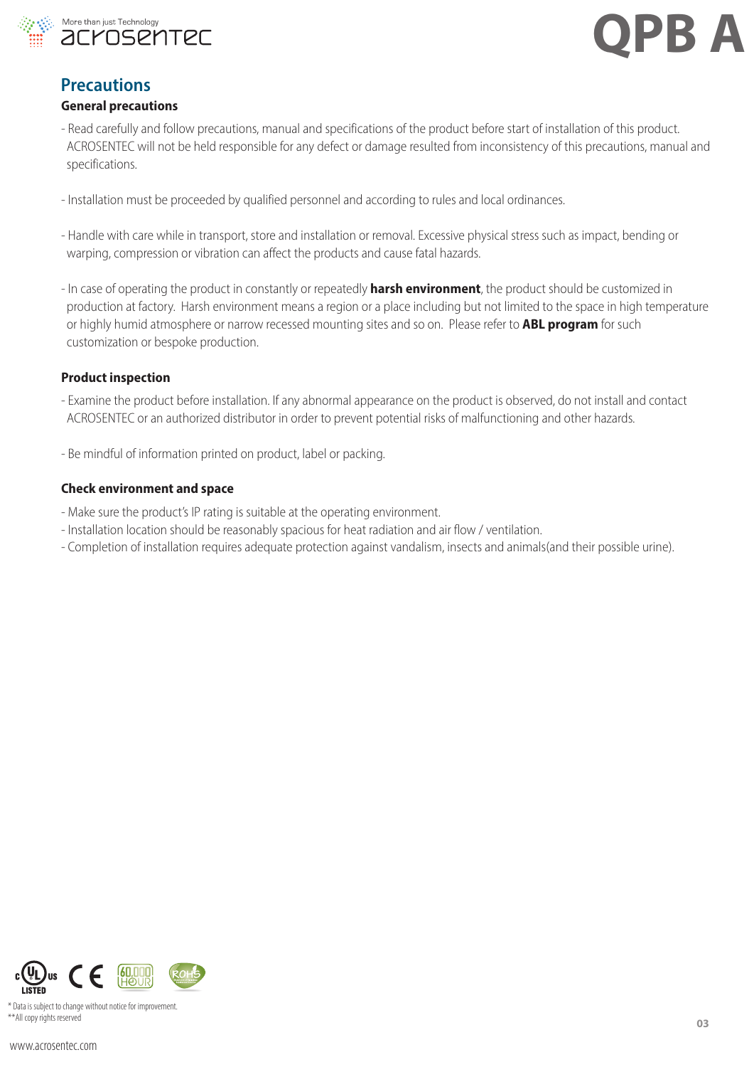



### **Precautions**

#### **General precautions**

- Read carefully and follow precautions, manual and specifications of the product before start of installation of this product. ACROSENTEC will not be held responsible for any defect or damage resulted from inconsistency of this precautions, manual and specifications.
- Installation must be proceeded by qualified personnel and according to rules and local ordinances.
- Handle with care while in transport, store and installation or removal. Excessive physical stress such as impact, bending or warping, compression or vibration can affect the products and cause fatal hazards.
- In case of operating the product in constantly or repeatedly **harsh environment**, the product should be customized in production at factory. Harsh environment means a region or a place including but not limited to the space in high temperature or highly humid atmosphere or narrow recessed mounting sites and so on. Please refer to **ABL program** for such customization or bespoke production.

#### **Product inspection**

- Examine the product before installation. If any abnormal appearance on the product is observed, do not install and contact ACROSENTEC or an authorized distributor in order to prevent potential risks of malfunctioning and other hazards.
- Be mindful of information printed on product, label or packing.

#### **Check environment and space**

- Make sure the product's IP rating is suitable at the operating environment.
- Installation location should be reasonably spacious for heat radiation and air flow / ventilation.
- Completion of installation requires adequate protection against vandalism, insects and animals(and their possible urine).



Data is subject to change without notice for improvement \*\*All copy rights reserved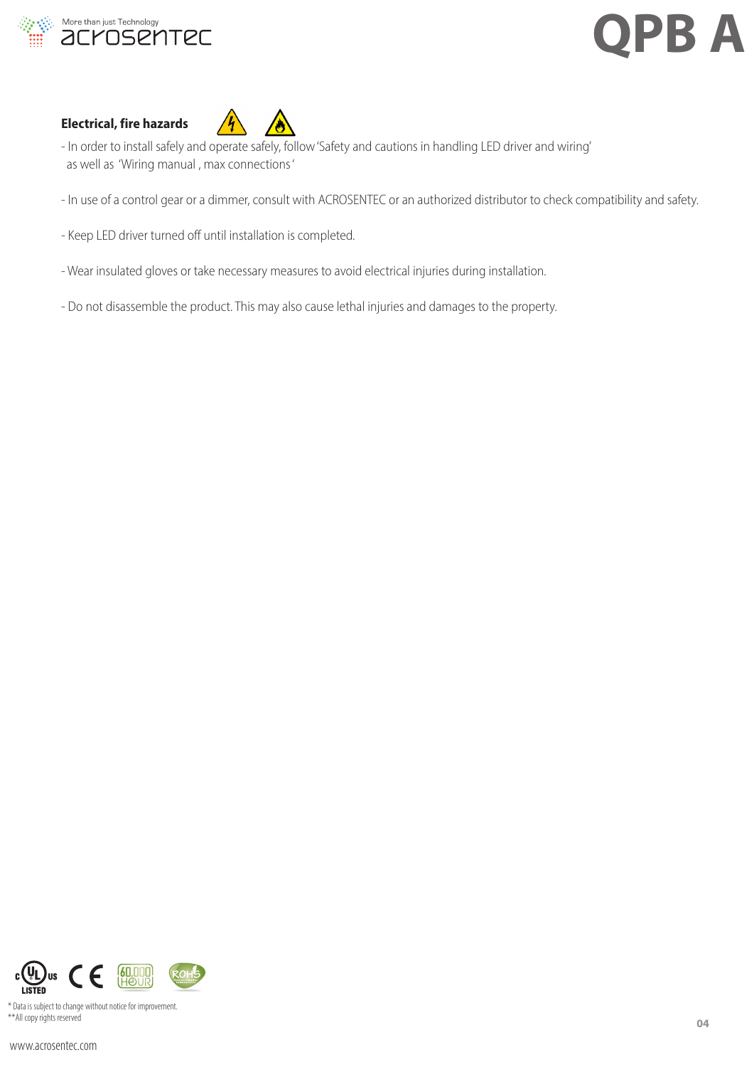

### **Electrical, fire hazards**



- In order to install safely and operate safely, follow 'Safety and cautions in handling LED driver and wiring' as well as 'Wiring manual , max connections '
- In use of a control gear or a dimmer, consult with ACROSENTEC or an authorized distributor to check compatibility and safety.
- Keep LED driver turned off until installation is completed.
- Wear insulated gloves or take necessary measures to avoid electrical injuries during installation.
- Do not disassemble the product. This may also cause lethal injuries and damages to the property.



\* Data is subject to change without notice for improvement. \*\*All copy rights reserved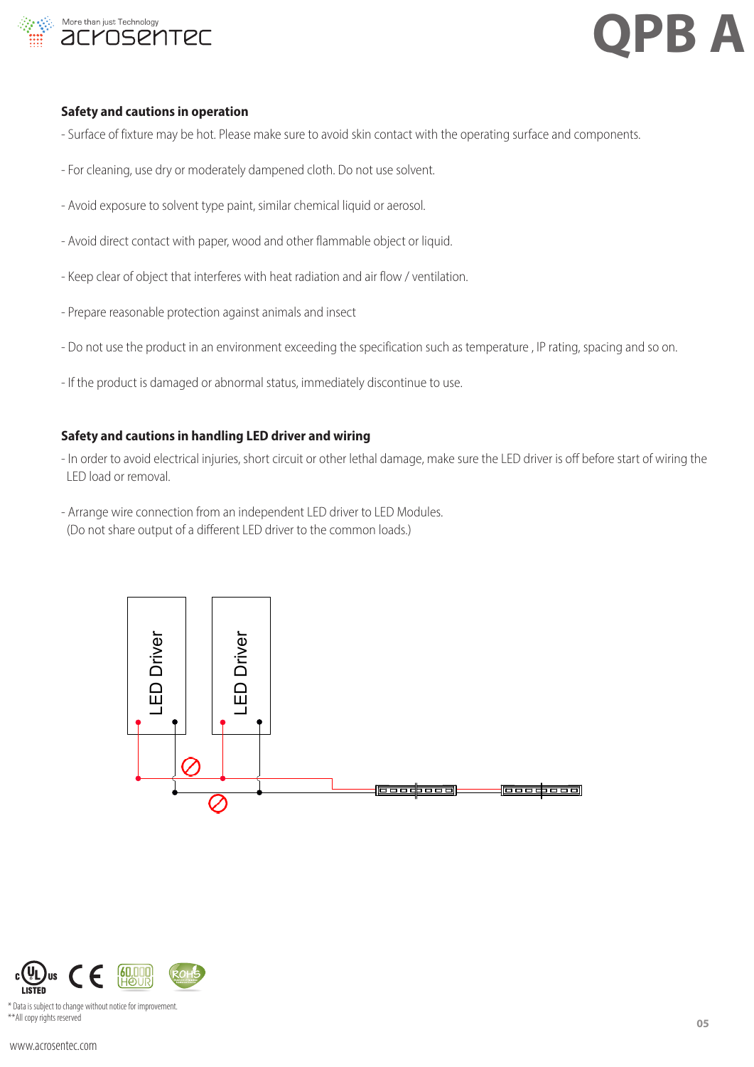

#### **Safety and cautions in operation**

- Surface of fixture may be hot. Please make sure to avoid skin contact with the operating surface and components.
- For cleaning, use dry or moderately dampened cloth. Do not use solvent.
- Avoid exposure to solvent type paint, similar chemical liquid or aerosol.
- Avoid direct contact with paper, wood and other flammable object or liquid.
- Keep clear of object that interferes with heat radiation and air flow / ventilation.
- Prepare reasonable protection against animals and insect
- Do not use the product in an environment exceeding the specification such as temperature , IP rating, spacing and so on.
- If the product is damaged or abnormal status, immediately discontinue to use.

#### **Safety and cautions in handling LED driver and wiring**

- In order to avoid electrical injuries, short circuit or other lethal damage, make sure the LED driver is off before start of wiring the LED load or removal.
- Arrange wire connection from an independent LED driver to LED Modules. (Do not share output of a different LED driver to the common loads.)